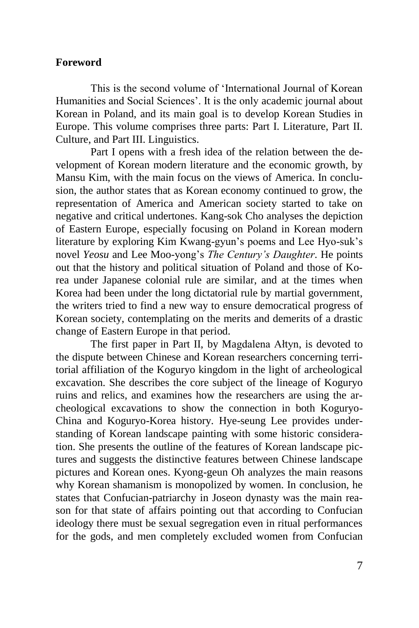## **Foreword**

This is the second volume of 'International Journal of Korean Humanities and Social Sciences'. It is the only academic journal about Korean in Poland, and its main goal is to develop Korean Studies in Europe. This volume comprises three parts: Part I. Literature, Part II. Culture, and Part III. Linguistics.

Part I opens with a fresh idea of the relation between the development of Korean modern literature and the economic growth, by Mansu Kim, with the main focus on the views of America. In conclusion, the author states that as Korean economy continued to grow, the representation of America and American society started to take on negative and critical undertones. Kang-sok Cho analyses the depiction of Eastern Europe, especially focusing on Poland in Korean modern literature by exploring Kim Kwang-gyun's poems and Lee Hyo-suk's novel *Yeosu* and Lee Moo-yong's *The Century's Daughter*. He points out that the history and political situation of Poland and those of Korea under Japanese colonial rule are similar, and at the times when Korea had been under the long dictatorial rule by martial government, the writers tried to find a new way to ensure democratical progress of Korean society, contemplating on the merits and demerits of a drastic change of Eastern Europe in that period.

The first paper in Part II, by Magdalena Ałtyn, is devoted to the dispute between Chinese and Korean researchers concerning territorial affiliation of the Koguryo kingdom in the light of archeological excavation. She describes the core subject of the lineage of Koguryo ruins and relics, and examines how the researchers are using the archeological excavations to show the connection in both Koguryo-China and Koguryo-Korea history. Hye-seung Lee provides understanding of Korean landscape painting with some historic consideration. She presents the outline of the features of Korean landscape pictures and suggests the distinctive features between Chinese landscape pictures and Korean ones. Kyong-geun Oh analyzes the main reasons why Korean shamanism is monopolized by women. In conclusion, he states that Confucian-patriarchy in Joseon dynasty was the main reason for that state of affairs pointing out that according to Confucian ideology there must be sexual segregation even in ritual performances for the gods, and men completely excluded women from Confucian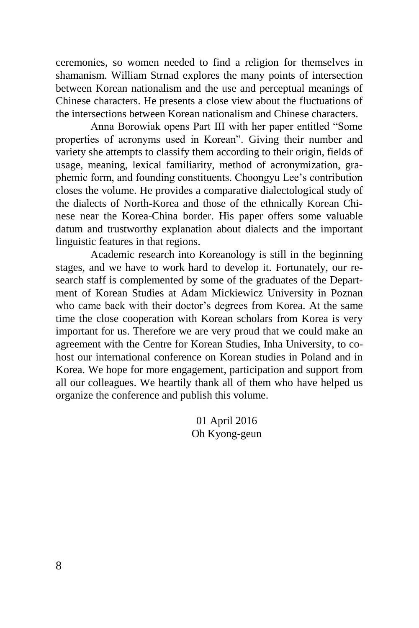ceremonies, so women needed to find a religion for themselves in shamanism. William Strnad explores the many points of intersection between Korean nationalism and the use and perceptual meanings of Chinese characters. He presents a close view about the fluctuations of the intersections between Korean nationalism and Chinese characters.

Anna Borowiak opens Part III with her paper entitled "Some properties of acronyms used in Korean". Giving their number and variety she attempts to classify them according to their origin, fields of usage, meaning, lexical familiarity, method of acronymization, graphemic form, and founding constituents. Choongyu Lee's contribution closes the volume. He provides a comparative dialectological study of the dialects of North-Korea and those of the ethnically Korean Chinese near the Korea-China border. His paper offers some valuable datum and trustworthy explanation about dialects and the important linguistic features in that regions.

Academic research into Koreanology is still in the beginning stages, and we have to work hard to develop it. Fortunately, our research staff is complemented by some of the graduates of the Department of Korean Studies at Adam Mickiewicz University in Poznan who came back with their doctor's degrees from Korea. At the same time the close cooperation with Korean scholars from Korea is very important for us. Therefore we are very proud that we could make an agreement with the Centre for Korean Studies, Inha University, to cohost our international conference on Korean studies in Poland and in Korea. We hope for more engagement, participation and support from all our colleagues. We heartily thank all of them who have helped us organize the conference and publish this volume.

> 01 April 2016 Oh Kyong-geun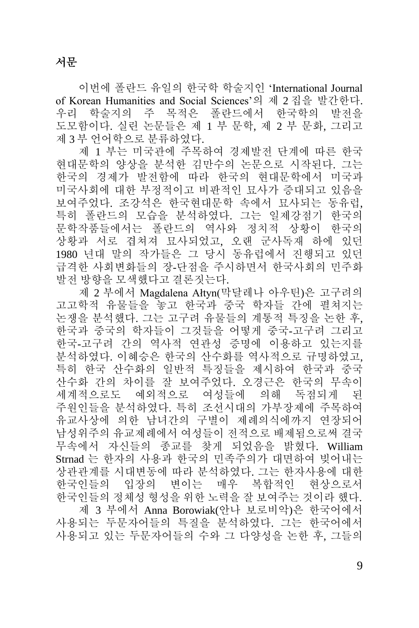이번에 폴란드 유일의 한국학 학술지인 'International Journal of Korean Humanities and Social Sciences'의 제 2 집을 발간한다. 우리 학술지의 주 목적은 폴란드에서 한국학의 발전을 도모함이다. 실린 논문들은 제 1 부 문학, 제 2 부 문화, 그리고 제 3 부 언어학으로 분류하였다.

제 1 부는 미국관에 주목하여 경제발전 단계에 따른 한국 현대문학의 양상을 분석한 김만수의 논문으로 시작된다. 그는 한국의 경제가 발전함에 따라 한국의 현대문학에서 미국과 미국사회에 대한 부정적이고 비판적인 묘사가 증대되고 있음을 보여주었다. 조강석은 한국현대문학 속에서 묘사되는 동유럽, 특히 폴란드의 모습을 분석하였다. 그는 일제강점기 한국의 문학작품들에서는 폴란드의 역사와 정치적 상황이 한국의 상황과 서로 겹쳐져 묘사되었고, 오랜 군사독재 하에 있던 1980 년대 말의 작가들은 그 당시 동유럽에서 진행되고 있던 급격한 사회변화들의 장-단점을 주시하면서 한국사회의 민주화 발전 방향을 모색했다고 결론짓는다.

제 2 부에서 Magdalena Ałtyn(막달레나 아우틴)은 고구려의 고고학적 유물들을 놓고 한국과 중국 학자들 간에 펼쳐지는 논쟁을 분석했다. 그는 고구려 유물들의 계통적 특징을 논한 후, 한국과 중국의 학자들이 그것들을 어떻게 중국-고구려 그리고 한국-고구려 간의 역사적 연관성 증명에 이용하고 있는지를 분석하였다. 이혜승은 한국의 산수화를 역사적으로 규명하였고, 특히 한국 산수화의 일반적 특징들을 제시하여 한국과 중국 산수화 간의 차이를 잘 보여주었다. 오경근은 한국의 무속이 세계적으로도 예외적으로 여성들에 의해 독점되게 된 주원인들을 분석하였다. 특히 조선시대의 가부장제에 주목하여 유교사상에 의한 남녀간의 구별이 제례의식에까지 연장되어 남성위주의 유교제례에서 여성들이 전적으로 배제됨으로써 결국 무속에서 자신들의 종교를 찾게 되었음을 밝혔다. William Strnad 는 한자의 사용과 한국의 민족주의가 대면하여 빚어내는 상관관계를 시대변동에 따라 분석하였다. 그는 한자사용에 대한 한국인들의 입장의 변이는 매우 복합적인 현상으로서 한국인들의 정체성 형성을 위한 노력을 잘 보여주는 것이라 했다. 제 3 부에서 Anna Borowiak(안나 보로비악)은 한국어에서 사용되는 두문자어들의 특질을 분석하였다. 그는 한국어에서 사용되고 있는 두문자어들의 수와 그 다양성을 논한 후, 그들의

9